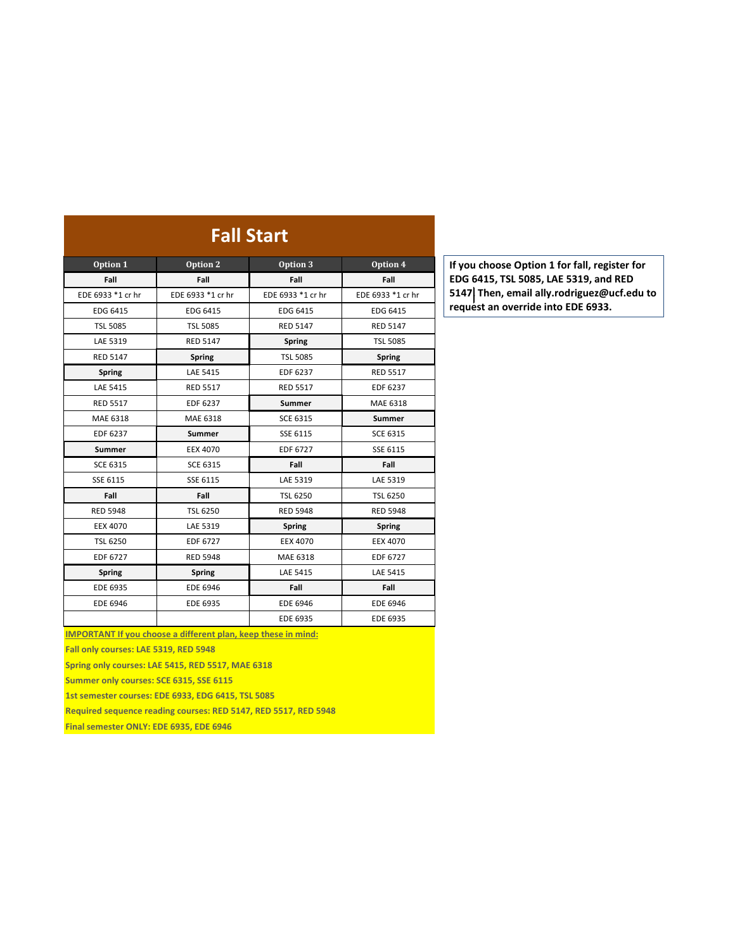| <b>Fall Start</b> |                   |                   |                   |  |
|-------------------|-------------------|-------------------|-------------------|--|
| Option 1          | <b>Option 2</b>   | <b>Option 3</b>   | Option 4          |  |
| Fall              | Fall              | Fall              | Fall              |  |
| EDE 6933 *1 cr hr | EDE 6933 *1 cr hr | EDE 6933 *1 cr hr | EDE 6933 *1 cr hr |  |
| <b>EDG 6415</b>   | EDG 6415          | <b>EDG 6415</b>   | EDG 6415          |  |
| <b>TSL 5085</b>   | <b>TSL 5085</b>   | <b>RED 5147</b>   | <b>RED 5147</b>   |  |
| LAE 5319          | <b>RED 5147</b>   | <b>Spring</b>     | <b>TSL 5085</b>   |  |
| <b>RED 5147</b>   | <b>Spring</b>     | <b>TSL 5085</b>   | <b>Spring</b>     |  |
| <b>Spring</b>     | LAE 5415          | EDF 6237          | <b>RED 5517</b>   |  |
| LAE 5415          | <b>RED 5517</b>   | <b>RED 5517</b>   | EDF 6237          |  |
| <b>RED 5517</b>   | EDF 6237          | <b>Summer</b>     | MAE 6318          |  |
| MAE 6318          | MAE 6318          | <b>SCE 6315</b>   | <b>Summer</b>     |  |
| EDF 6237          | <b>Summer</b>     | SSE 6115          | <b>SCE 6315</b>   |  |
| <b>Summer</b>     | <b>EEX 4070</b>   | EDF 6727          | SSE 6115          |  |
| <b>SCE 6315</b>   | <b>SCE 6315</b>   | Fall              | Fall              |  |
| SSE 6115          | SSE 6115          | LAE 5319          | LAE 5319          |  |
| Fall              | Fall              | <b>TSL 6250</b>   | <b>TSL 6250</b>   |  |
| <b>RED 5948</b>   | <b>TSL 6250</b>   | <b>RED 5948</b>   | <b>RED 5948</b>   |  |
| EEX 4070          | LAE 5319          | <b>Spring</b>     | <b>Spring</b>     |  |
| <b>TSL 6250</b>   | EDF 6727          | <b>EEX 4070</b>   | <b>EEX 4070</b>   |  |
| EDF 6727          | <b>RED 5948</b>   | MAE 6318          | EDF 6727          |  |
| <b>Spring</b>     | <b>Spring</b>     | LAE 5415          | LAE 5415          |  |
| EDE 6935          | <b>EDE 6946</b>   | Fall              | Fall              |  |
| <b>EDE 6946</b>   | <b>EDE 6935</b>   | <b>EDE 6946</b>   | <b>EDE 6946</b>   |  |
|                   |                   | <b>EDE 6935</b>   | <b>EDE 6935</b>   |  |

**IMPORTANT If you choose a different plan, keep these in mind:**

**Fall only courses: LAE 5319, RED 5948**

**Spring only courses: LAE 5415, RED 5517, MAE 6318**

**Summer only courses: SCE 6315, SSE 6115**

**1st semester courses: EDE 6933, EDG 6415, TSL 5085**

**Required sequence reading courses: RED 5147, RED 5517, RED 5948**

**Final semester ONLY: EDE 6935, EDE 6946**

**If you choose Option 1 for fall, register for EDG 6415, TSL 5085, LAE 5319, and RED 5147. Then, email ally.rodriguez@ucf.edu to request an override into EDE 6933.**